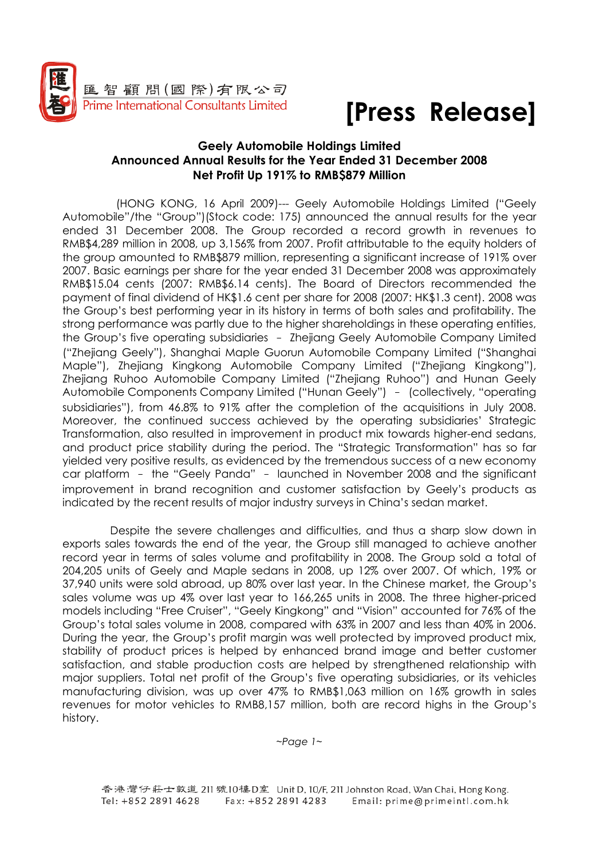

### [Press Release]

#### Geely Automobile Holdings Limited Announced Annual Results for the Year Ended 31 December 2008 Net Profit Up 191% to RMB\$879 Million

(HONG KONG, 16 April 2009)--- Geely Automobile Holdings Limited ("Geely Automobile"/the "Group")(Stock code: 175) announced the annual results for the year ended 31 December 2008. The Group recorded a record growth in revenues to RMB\$4,289 million in 2008, up 3,156% from 2007. Profit attributable to the equity holders of the group amounted to RMB\$879 million, representing a significant increase of 191% over 2007. Basic earnings per share for the year ended 31 December 2008 was approximately RMB\$15.04 cents (2007: RMB\$6.14 cents). The Board of Directors recommended the payment of final dividend of HK\$1.6 cent per share for 2008 (2007: HK\$1.3 cent). 2008 was the Group's best performing year in its history in terms of both sales and profitability. The strong performance was partly due to the higher shareholdings in these operating entities, the Group's five operating subsidiaries – Zhejiang Geely Automobile Company Limited ("Zhejiang Geely"), Shanghai Maple Guorun Automobile Company Limited ("Shanghai Maple"), Zhejiang Kingkong Automobile Company Limited ("Zhejiang Kingkong"), Zhejiang Ruhoo Automobile Company Limited ("Zhejiang Ruhoo") and Hunan Geely Automobile Components Company Limited ("Hunan Geely") – (collectively, "operating subsidiaries"), from 46.8% to 91% after the completion of the acquisitions in July 2008. Moreover, the continued success achieved by the operating subsidiaries' Strategic Transformation, also resulted in improvement in product mix towards higher-end sedans, and product price stability during the period. The "Strategic Transformation" has so far yielded very positive results, as evidenced by the tremendous success of a new economy car platform – the "Geely Panda" – launched in November 2008 and the significant improvement in brand recognition and customer satisfaction by Geely's products as indicated by the recent results of major industry surveys in China's sedan market.

 Despite the severe challenges and difficulties, and thus a sharp slow down in exports sales towards the end of the year, the Group still managed to achieve another record year in terms of sales volume and profitability in 2008. The Group sold a total of 204,205 units of Geely and Maple sedans in 2008, up 12% over 2007. Of which, 19% or 37,940 units were sold abroad, up 80% over last year. In the Chinese market, the Group's sales volume was up 4% over last year to 166,265 units in 2008. The three higher-priced models including "Free Cruiser", "Geely Kingkong" and "Vision" accounted for 76% of the Group's total sales volume in 2008, compared with 63% in 2007 and less than 40% in 2006. During the year, the Group's profit margin was well protected by improved product mix, stability of product prices is helped by enhanced brand image and better customer satisfaction, and stable production costs are helped by strengthened relationship with major suppliers. Total net profit of the Group's five operating subsidiaries, or its vehicles manufacturing division, was up over 47% to RMB\$1,063 million on 16% growth in sales revenues for motor vehicles to RMB8,157 million, both are record highs in the Group's history.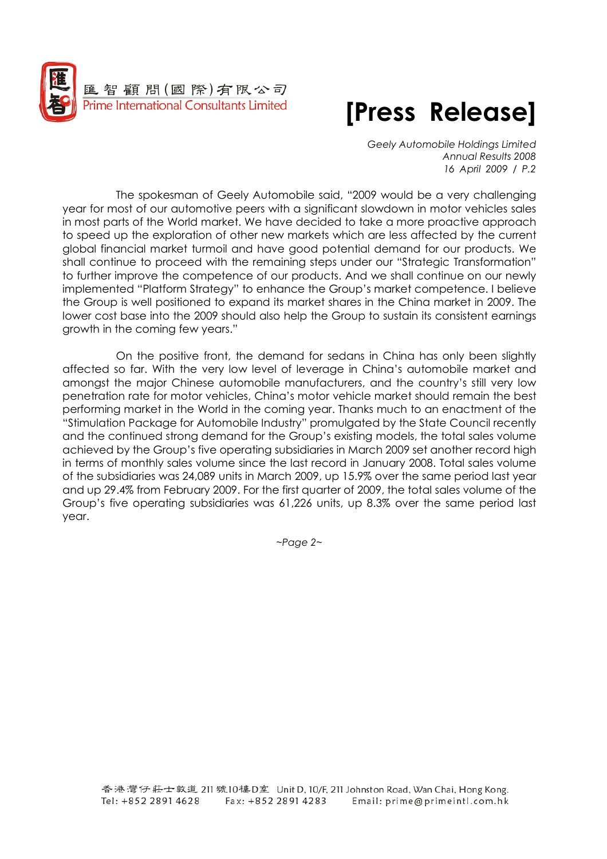

# [Press Release]

Geely Automobile Holdings Limited Annual Results 2008 16 April 2009 / P.2

The spokesman of Geely Automobile said, "2009 would be a very challenging year for most of our automotive peers with a significant slowdown in motor vehicles sales in most parts of the World market. We have decided to take a more proactive approach to speed up the exploration of other new markets which are less affected by the current global financial market turmoil and have good potential demand for our products. We shall continue to proceed with the remaining steps under our "Strategic Transformation" to further improve the competence of our products. And we shall continue on our newly implemented "Platform Strategy" to enhance the Group's market competence. I believe the Group is well positioned to expand its market shares in the China market in 2009. The lower cost base into the 2009 should also help the Group to sustain its consistent earnings growth in the coming few years."

On the positive front, the demand for sedans in China has only been slightly affected so far. With the very low level of leverage in China's automobile market and amongst the major Chinese automobile manufacturers, and the country's still very low penetration rate for motor vehicles, China's motor vehicle market should remain the best performing market in the World in the coming year. Thanks much to an enactment of the "Stimulation Package for Automobile Industry" promulgated by the State Council recently and the continued strong demand for the Group's existing models, the total sales volume achieved by the Group's five operating subsidiaries in March 2009 set another record high in terms of monthly sales volume since the last record in January 2008. Total sales volume of the subsidiaries was 24,089 units in March 2009, up 15.9% over the same period last year and up 29.4% from February 2009. For the first quarter of 2009, the total sales volume of the Group's five operating subsidiaries was 61,226 units, up 8.3% over the same period last year.

 $~$ -Page 2 $~$